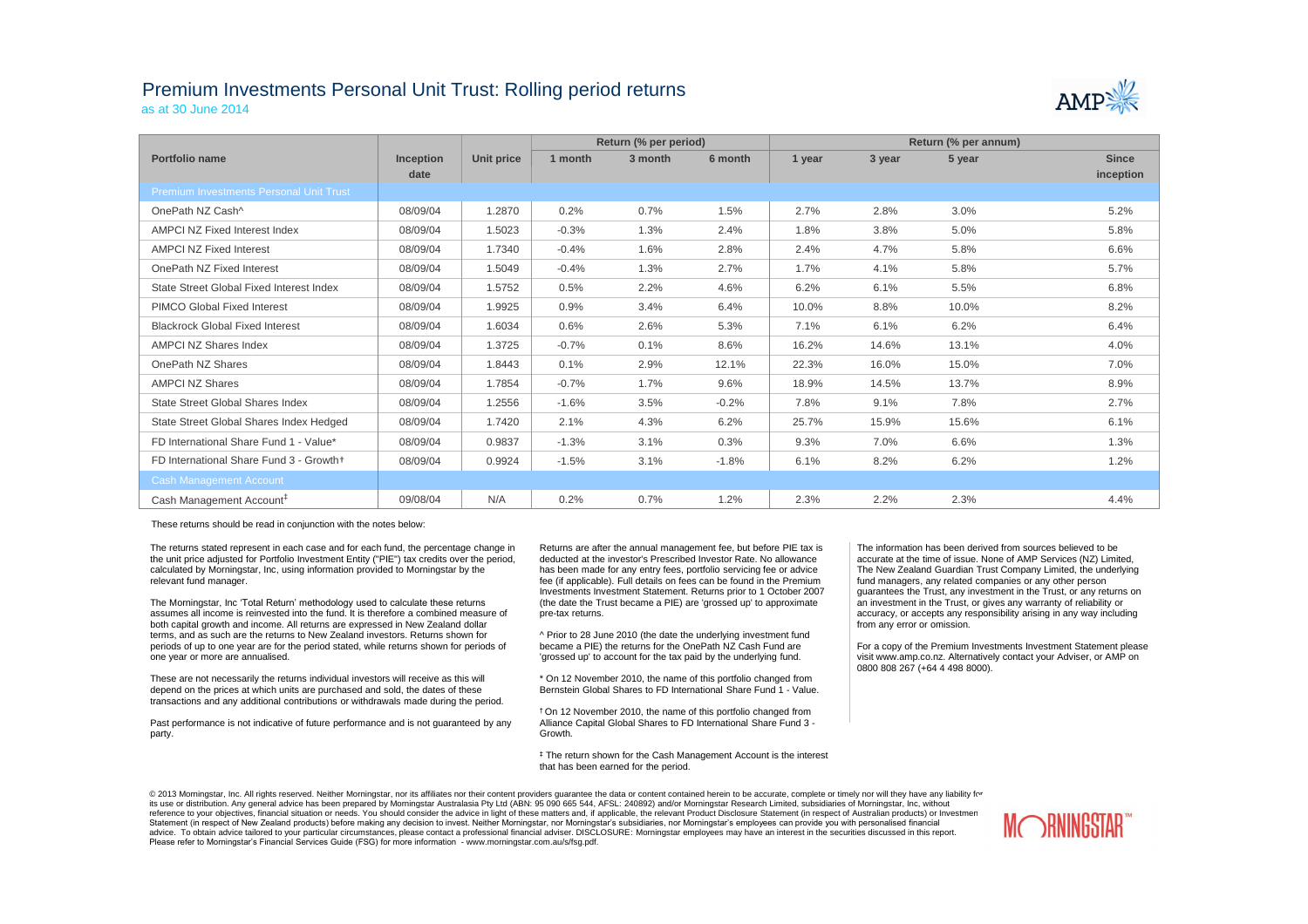## Premium Investments Personal Unit Trust: Rolling period returns

as at 30 June 2014

|                                                |                  |                   |         | Return (% per period) |         | Return (% per annum) |        |        |              |  |
|------------------------------------------------|------------------|-------------------|---------|-----------------------|---------|----------------------|--------|--------|--------------|--|
| <b>Portfolio name</b>                          | <b>Inception</b> | <b>Unit price</b> | 1 month | 3 month               | 6 month | 1 year               | 3 year | 5 year | <b>Since</b> |  |
|                                                | date             |                   |         |                       |         |                      |        |        | inception    |  |
| <b>Premium Investments Personal Unit Trust</b> |                  |                   |         |                       |         |                      |        |        |              |  |
| OnePath NZ Cash^                               | 08/09/04         | 1.2870            | 0.2%    | 0.7%                  | 1.5%    | 2.7%                 | 2.8%   | 3.0%   | 5.2%         |  |
| <b>AMPCI NZ Fixed Interest Index</b>           | 08/09/04         | 1.5023            | $-0.3%$ | 1.3%                  | 2.4%    | 1.8%                 | 3.8%   | 5.0%   | 5.8%         |  |
| <b>AMPCI NZ Fixed Interest</b>                 | 08/09/04         | 1.7340            | $-0.4%$ | 1.6%                  | 2.8%    | 2.4%                 | 4.7%   | 5.8%   | 6.6%         |  |
| OnePath NZ Fixed Interest                      | 08/09/04         | 1.5049            | $-0.4%$ | 1.3%                  | 2.7%    | 1.7%                 | 4.1%   | 5.8%   | 5.7%         |  |
| State Street Global Fixed Interest Index       | 08/09/04         | 1.5752            | 0.5%    | 2.2%                  | 4.6%    | 6.2%                 | 6.1%   | 5.5%   | 6.8%         |  |
| <b>PIMCO Global Fixed Interest</b>             | 08/09/04         | 1.9925            | 0.9%    | 3.4%                  | 6.4%    | 10.0%                | 8.8%   | 10.0%  | 8.2%         |  |
| <b>Blackrock Global Fixed Interest</b>         | 08/09/04         | 1.6034            | 0.6%    | 2.6%                  | 5.3%    | 7.1%                 | 6.1%   | 6.2%   | 6.4%         |  |
| <b>AMPCI NZ Shares Index</b>                   | 08/09/04         | 1.3725            | $-0.7%$ | 0.1%                  | 8.6%    | 16.2%                | 14.6%  | 13.1%  | 4.0%         |  |
| OnePath NZ Shares                              | 08/09/04         | 1.8443            | 0.1%    | 2.9%                  | 12.1%   | 22.3%                | 16.0%  | 15.0%  | 7.0%         |  |
| <b>AMPCI NZ Shares</b>                         | 08/09/04         | 1.7854            | $-0.7%$ | 1.7%                  | 9.6%    | 18.9%                | 14.5%  | 13.7%  | 8.9%         |  |
| <b>State Street Global Shares Index</b>        | 08/09/04         | 1.2556            | $-1.6%$ | 3.5%                  | $-0.2%$ | 7.8%                 | 9.1%   | 7.8%   | 2.7%         |  |
| State Street Global Shares Index Hedged        | 08/09/04         | 1.7420            | 2.1%    | 4.3%                  | 6.2%    | 25.7%                | 15.9%  | 15.6%  | 6.1%         |  |
| FD International Share Fund 1 - Value*         | 08/09/04         | 0.9837            | $-1.3%$ | 3.1%                  | 0.3%    | 9.3%                 | 7.0%   | 6.6%   | 1.3%         |  |
| FD International Share Fund 3 - Growth+        | 08/09/04         | 0.9924            | $-1.5%$ | 3.1%                  | $-1.8%$ | 6.1%                 | 8.2%   | 6.2%   | 1.2%         |  |
| <b>Cash Management Account</b>                 |                  |                   |         |                       |         |                      |        |        |              |  |
| Cash Management Account <sup>#</sup>           | 09/08/04         | N/A               | 0.2%    | 0.7%                  | 1.2%    | 2.3%                 | 2.2%   | 2.3%   | 4.4%         |  |

These returns should be read in conjunction with the notes below:

The returns stated represent in each case and for each fund, the percentage change in the unit price adjusted for Portfolio Investment Entity ("PIE") tax credits over the period, calculated by Morningstar, Inc, using information provided to Morningstar by the relevant fund manager.

The Morningstar, Inc 'Total Return' methodology used to calculate these returns assumes all income is reinvested into the fund. It is therefore a combined measure of both capital growth and income. All returns are expressed in New Zealand dollar terms, and as such are the returns to New Zealand investors. Returns shown for periods of up to one year are for the period stated, while returns shown for periods of one year or more are annualised.

These are not necessarily the returns individual investors will receive as this will depend on the prices at which units are purchased and sold, the dates of these transactions and any additional contributions or withdrawals made during the period.

Past performance is not indicative of future performance and is not guaranteed by any party.

@ 2013 Morningstar, Inc. All rights reserved. Neither Morningstar, nor its affiliates nor their content providers guarantee the data or content contained herein to be accurate, complete or timely nor will they have any lia its use or distribution. Any general advice has been prepared by Morningstar Australasia Pty Ltd (ABN: 95 090 665 544, AFSL: 240892) and/or Morningstar Research Limited, subsidiaries of Morningstar, Inc, without reference to your objectives, financial situation or needs. You should consider the advice in light of these matters and, if applicable, the relevant Product Disclosure Statement (in respect of Australian products) or Inve Statement (in respect of New Zealand products) before making any decision to invest. Neither Morningstar, nor Morningstar's subsidiaries, nor Morningstar's employees can provide you with personalised financial advice. To obtain advice tailored to your particular circumstances, please contact a professional financial adviser. DISCLOSURE: Morningstar employees may have an interest in the securities discussed in this report. Please refer to Morningstar's Financial Services Guide (FSG) for more information - www.morningstar.com.au/s/fsg.pdf.





Returns are after the annual management fee, but before PIE tax is deducted at the investor's Prescribed Investor Rate. No allowance has been made for any entry fees, portfolio servicing fee or advice fee (if applicable). Full details on fees can be found in the Premium Investments Investment Statement. Returns prior to 1 October 2007 (the date the Trust became a PIE) are 'grossed up' to approximate pre-tax returns.

^ Prior to 28 June 2010 (the date the underlying investment fund became a PIE) the returns for the OnePath NZ Cash Fund are 'grossed up' to account for the tax paid by the underlying fund.

\* On 12 November 2010, the name of this portfolio changed from Bernstein Global Shares to FD International Share Fund 1 - Value.

† On 12 November 2010, the name of this portfolio changed from Alliance Capital Global Shares to FD International Share Fund 3 - Growth.

‡ The return shown for the Cash Management Account is the interest that has been earned for the period.

The information has been derived from sources believed to be accurate at the time of issue. None of AMP Services (NZ) Limited, The New Zealand Guardian Trust Company Limited, the underlying fund managers, any related companies or any other person guarantees the Trust, any investment in the Trust, or any returns on an investment in the Trust, or gives any warranty of reliability or accuracy, or accepts any responsibility arising in any way including from any error or omission.

For a copy of the Premium Investments Investment Statement please visit www.amp.co.nz. Alternatively contact your Adviser, or AMP on 0800 808 267 (+64 4 498 8000).